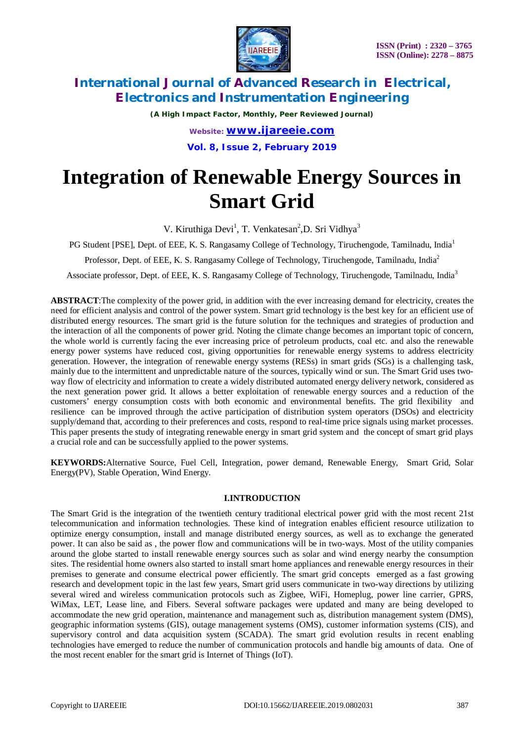

*(A High Impact Factor, Monthly, Peer Reviewed Journal) Website: [www.ijareeie.com](http://www.ijareeie.com)* **Vol. 8, Issue 2, February 2019**

# **Integration of Renewable Energy Sources in Smart Grid**

V. Kiruthiga Devi<sup>1</sup>, T. Venkatesan<sup>2</sup>, D. Sri Vidhya<sup>3</sup>

PG Student [PSE], Dept. of EEE, K. S. Rangasamy College of Technology, Tiruchengode, Tamilnadu, India<sup>1</sup>

Professor, Dept. of EEE, K. S. Rangasamy College of Technology, Tiruchengode, Tamilnadu, India<sup>2</sup>

Associate professor, Dept. of EEE, K. S. Rangasamy College of Technology, Tiruchengode, Tamilnadu, India<sup>3</sup>

**ABSTRACT**:The complexity of the power grid, in addition with the ever increasing demand for electricity, creates the need for efficient analysis and control of the power system. Smart grid technology is the best key for an efficient use of distributed energy resources. The smart grid is the future solution for the techniques and strategies of production and the interaction of all the components of power grid. Noting the climate change becomes an important topic of concern, the whole world is currently facing the ever increasing price of petroleum products, coal etc. and also the renewable energy power systems have reduced cost, giving opportunities for renewable energy systems to address electricity generation. However, the integration of renewable energy systems (RESs) in smart grids (SGs) is a challenging task, mainly due to the intermittent and unpredictable nature of the sources, typically wind or sun. The Smart Grid uses twoway flow of electricity and information to create a widely distributed automated energy delivery network, considered as the next generation power grid. It allows a better exploitation of renewable energy sources and a reduction of the customers' energy consumption costs with both economic and environmental benefits. The grid flexibility and resilience can be improved through the active participation of distribution system operators (DSOs) and electricity supply/demand that, according to their preferences and costs, respond to real-time price signals using market processes. This paper presents the study of integrating renewable energy in smart grid system and the concept of smart grid plays a crucial role and can be successfully applied to the power systems.

**KEYWORDS:**Alternative Source, Fuel Cell, Integration, power demand, Renewable Energy, Smart Grid, Solar Energy(PV), Stable Operation, Wind Energy.

### **I.INTRODUCTION**

The Smart Grid is the integration of the twentieth century traditional electrical power grid with the most recent 21st telecommunication and information technologies. These kind of integration enables efficient resource utilization to optimize energy consumption, install and manage distributed energy sources, as well as to exchange the generated power. It can also be said as , the power flow and communications will be in two-ways. Most of the utility companies around the globe started to install renewable energy sources such as solar and wind energy nearby the consumption sites. The residential home owners also started to install smart home appliances and renewable energy resources in their premises to generate and consume electrical power efficiently. The smart grid concepts emerged as a fast growing research and development topic in the last few years, Smart grid users communicate in two-way directions by utilizing several wired and wireless communication protocols such as Zigbee, WiFi, Homeplug, power line carrier, GPRS, WiMax, LET, Lease line, and Fibers. Several software packages were updated and many are being developed to accommodate the new grid operation, maintenance and management such as, distribution management system (DMS), geographic information systems (GIS), outage management systems (OMS), customer information systems (CIS), and supervisory control and data acquisition system (SCADA). The smart grid evolution results in recent enabling technologies have emerged to reduce the number of communication protocols and handle big amounts of data. One of the most recent enabler for the smart grid is Internet of Things (IoT).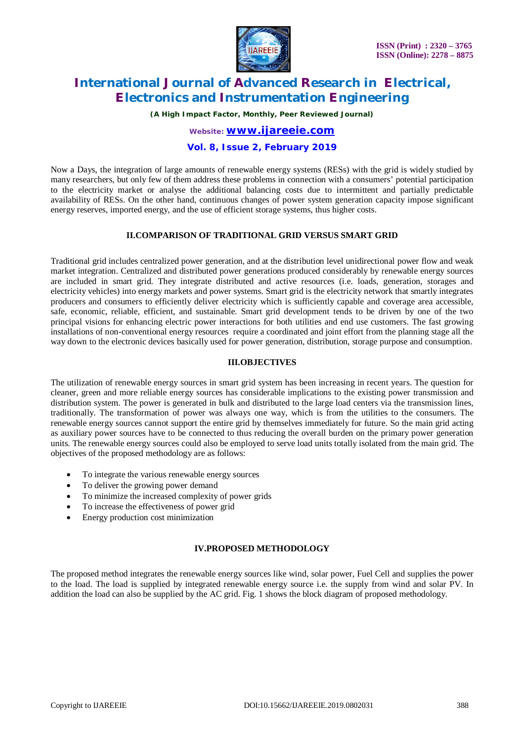

*(A High Impact Factor, Monthly, Peer Reviewed Journal)*

*Website: [www.ijareeie.com](http://www.ijareeie.com)*

### **Vol. 8, Issue 2, February 2019**

Now a Days, the integration of large amounts of renewable energy systems (RESs) with the grid is widely studied by many researchers, but only few of them address these problems in connection with a consumers' potential participation to the electricity market or analyse the additional balancing costs due to intermittent and partially predictable availability of RESs. On the other hand, continuous changes of power system generation capacity impose significant energy reserves, imported energy, and the use of efficient storage systems, thus higher costs.

### **II.COMPARISON OF TRADITIONAL GRID VERSUS SMART GRID**

Traditional grid includes centralized power generation, and at the distribution level unidirectional power flow and weak market integration. Centralized and distributed power generations produced considerably by renewable energy sources are included in smart grid. They integrate distributed and active resources (i.e. loads, generation, storages and electricity vehicles) into energy markets and power systems. Smart grid is the electricity network that smartly integrates producers and consumers to efficiently deliver electricity which is sufficiently capable and coverage area accessible, safe, economic, reliable, efficient, and sustainable. Smart grid development tends to be driven by one of the two principal visions for enhancing electric power interactions for both utilities and end use customers. The fast growing installations of non-conventional energy resources require a coordinated and joint effort from the planning stage all the way down to the electronic devices basically used for power generation, distribution, storage purpose and consumption.

### **III.OBJECTIVES**

The utilization of renewable energy sources in smart grid system has been increasing in recent years. The question for cleaner, green and more reliable energy sources has considerable implications to the existing power transmission and distribution system. The power is generated in bulk and distributed to the large load centers via the transmission lines, traditionally. The transformation of power was always one way, which is from the utilities to the consumers. The renewable energy sources cannot support the entire grid by themselves immediately for future. So the main grid acting as auxiliary power sources have to be connected to thus reducing the overall burden on the primary power generation units. The renewable energy sources could also be employed to serve load units totally isolated from the main grid. The objectives of the proposed methodology are as follows:

- To integrate the various renewable energy sources
- To deliver the growing power demand
- To minimize the increased complexity of power grids
- To increase the effectiveness of power grid
- Energy production cost minimization

### **IV.PROPOSED METHODOLOGY**

The proposed method integrates the renewable energy sources like wind, solar power, Fuel Cell and supplies the power to the load. The load is supplied by integrated renewable energy source i.e. the supply from wind and solar PV. In addition the load can also be supplied by the AC grid. Fig. 1 shows the block diagram of proposed methodology.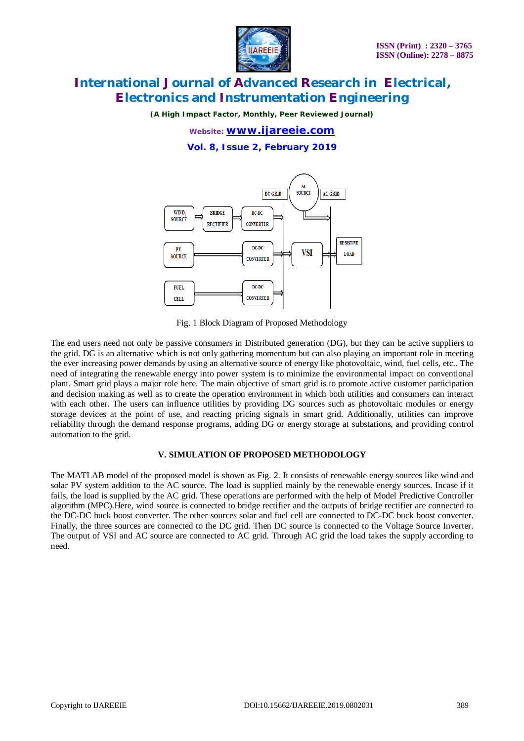

*(A High Impact Factor, Monthly, Peer Reviewed Journal)*

*Website: [www.ijareeie.com](http://www.ijareeie.com)*

**Vol. 8, Issue 2, February 2019**



Fig. 1 Block Diagram of Proposed Methodology

The end users need not only be passive consumers in Distributed generation (DG), but they can be active suppliers to the grid. DG is an alternative which is not only gathering momentum but can also playing an important role in meeting the ever increasing power demands by using an alternative source of energy like photovoltaic, wind, fuel cells, etc.. The need of integrating the renewable energy into power system is to minimize the environmental impact on conventional plant. Smart grid plays a major role here. The main objective of smart grid is to promote active customer participation and decision making as well as to create the operation environment in which both utilities and consumers can interact with each other. The users can influence utilities by providing DG sources such as photovoltaic modules or energy storage devices at the point of use, and reacting pricing signals in smart grid. Additionally, utilities can improve reliability through the demand response programs, adding DG or energy storage at substations, and providing control automation to the grid.

### **V. SIMULATION OF PROPOSED METHODOLOGY**

The MATLAB model of the proposed model is shown as Fig. 2. It consists of renewable energy sources like wind and solar PV system addition to the AC source. The load is supplied mainly by the renewable energy sources. Incase if it fails, the load is supplied by the AC grid. These operations are performed with the help of Model Predictive Controller algorithm (MPC).Here, wind source is connected to bridge rectifier and the outputs of bridge rectifier are connected to the DC-DC buck boost converter. The other sources solar and fuel cell are connected to DC-DC buck boost converter. Finally, the three sources are connected to the DC grid. Then DC source is connected to the Voltage Source Inverter. The output of VSI and AC source are connected to AC grid. Through AC grid the load takes the supply according to need.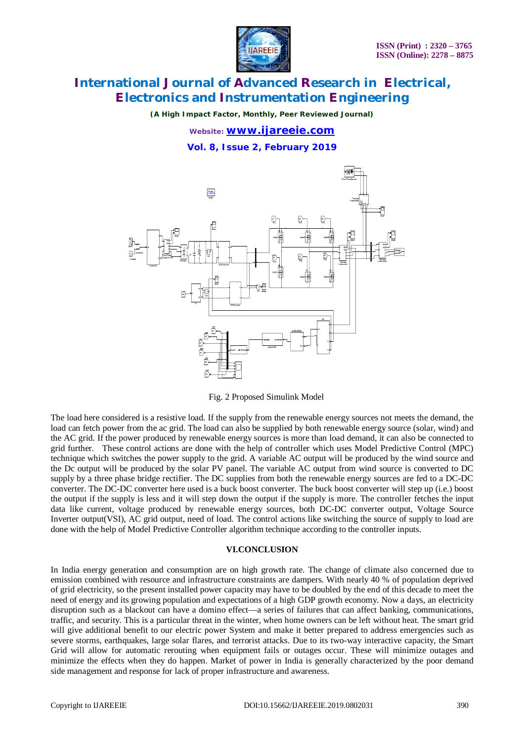

*(A High Impact Factor, Monthly, Peer Reviewed Journal)*

*Website: [www.ijareeie.com](http://www.ijareeie.com)*

**Vol. 8, Issue 2, February 2019**



Fig. 2 Proposed Simulink Model

The load here considered is a resistive load. If the supply from the renewable energy sources not meets the demand, the load can fetch power from the ac grid. The load can also be supplied by both renewable energy source (solar, wind) and the AC grid. If the power produced by renewable energy sources is more than load demand, it can also be connected to grid further. These control actions are done with the help of controller which uses Model Predictive Control (MPC) technique which switches the power supply to the grid. A variable AC output will be produced by the wind source and the Dc output will be produced by the solar PV panel. The variable AC output from wind source is converted to DC supply by a three phase bridge rectifier. The DC supplies from both the renewable energy sources are fed to a DC-DC converter. The DC-DC converter here used is a buck boost converter. The buck boost converter will step up (i.e.) boost the output if the supply is less and it will step down the output if the supply is more. The controller fetches the input data like current, voltage produced by renewable energy sources, both DC-DC converter output, Voltage Source Inverter output(VSI), AC grid output, need of load. The control actions like switching the source of supply to load are done with the help of Model Predictive Controller algorithm technique according to the controller inputs.

#### **VI.CONCLUSION**

In India energy generation and consumption are on high growth rate. The change of climate also concerned due to emission combined with resource and infrastructure constraints are dampers. With nearly 40 % of population deprived of grid electricity, so the present installed power capacity may have to be doubled by the end of this decade to meet the need of energy and its growing population and expectations of a high GDP growth economy. Now a days, an electricity disruption such as a blackout can have a domino effect—a series of failures that can affect banking, communications, traffic, and security. This is a particular threat in the winter, when home owners can be left without heat. The smart grid will give additional benefit to our electric power System and make it better prepared to address emergencies such as severe storms, earthquakes, large solar flares, and terrorist attacks. Due to its two-way interactive capacity, the Smart Grid will allow for automatic rerouting when equipment fails or outages occur. These will minimize outages and minimize the effects when they do happen. Market of power in India is generally characterized by the poor demand side management and response for lack of proper infrastructure and awareness.